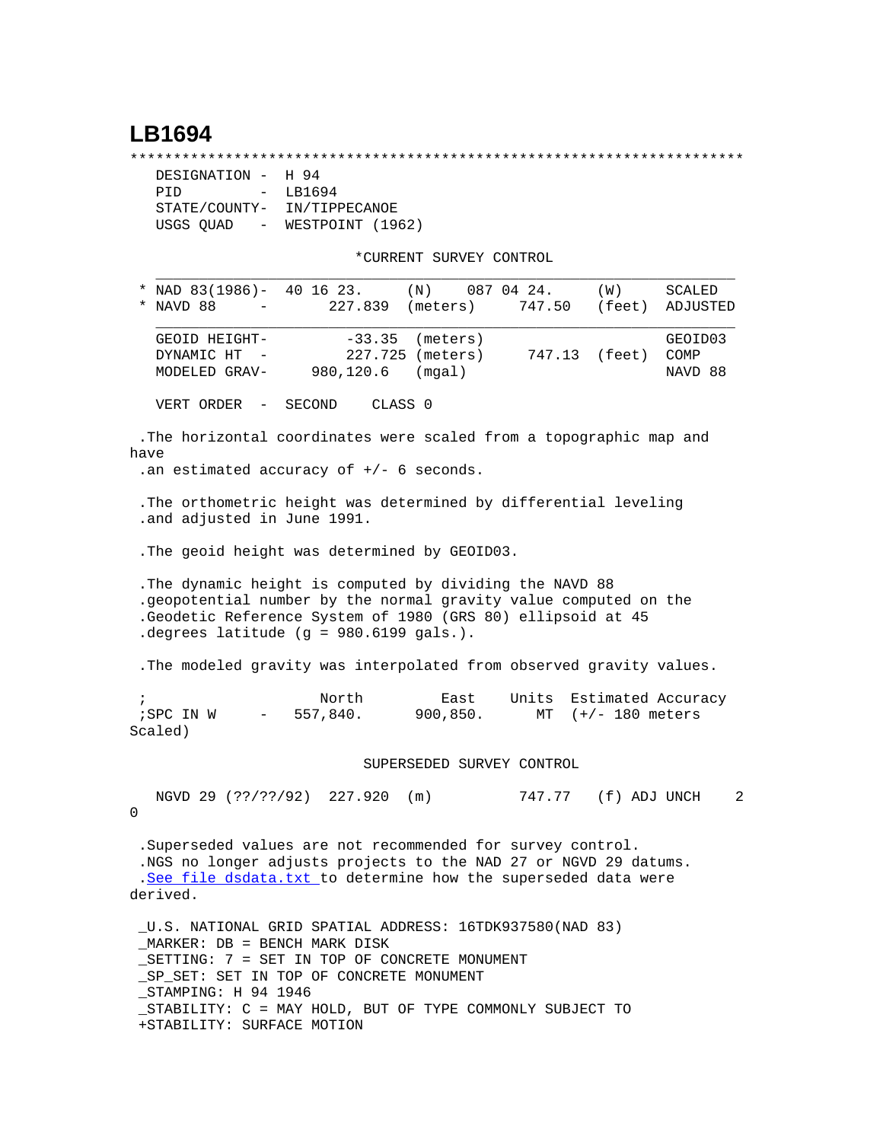## **LB1694**

\*\*\*\*\*\*\*\*\*\*\*\*\*\*\*\*\*\*\*\*\*\*\*\*\*\*\*\*\*\*\*\*\*\*\*\*\*\*\*\*\*\*\*\*\*\*\*\*\*\*\*\*\*\*\*\*\*\*\*\*\*\*\*\*\*\*\*\*\*\*\*

| DESIGNATION -                         | H 94             |
|---------------------------------------|------------------|
| PTD<br>$\sim$                         | LB1694           |
| STATE/COUNTY-                         | IN/TIPPECANOE    |
| USGS QUAD<br>$\alpha_{\rm{max}}=0.01$ | WESTPOINT (1962) |

\*CURRENT SURVEY CONTROL

| * NAD 83(1986)- 40 16 23.<br>NAVD 88<br>$\ast$<br>$\overline{\phantom{m}}$                                                                                                                                                              | (N)<br>227.839 (meters)        | 087 04 24.<br>747.50           | (W)               | SCALED<br>(feet) ADJUSTED  |
|-----------------------------------------------------------------------------------------------------------------------------------------------------------------------------------------------------------------------------------------|--------------------------------|--------------------------------|-------------------|----------------------------|
| GEOID HEIGHT-<br>DYNAMIC HT -<br>980,120.6<br>MODELED GRAV-                                                                                                                                                                             | $-33.35$<br>(meters)<br>(mqal) |                                |                   | GEOID03<br>COMP<br>NAVD 88 |
| VERT ORDER - SECOND                                                                                                                                                                                                                     | CLASS 0                        |                                |                   |                            |
| . The horizontal coordinates were scaled from a topographic map and<br>have<br>.an estimated accuracy of $+/-$ 6 seconds.                                                                                                               |                                |                                |                   |                            |
| . The orthometric height was determined by differential leveling<br>.and adjusted in June 1991.                                                                                                                                         |                                |                                |                   |                            |
| . The geoid height was determined by GEOID03.                                                                                                                                                                                           |                                |                                |                   |                            |
| . The dynamic height is computed by dividing the NAVD 88<br>.geopotential number by the normal gravity value computed on the<br>.Geodetic Reference System of 1980 (GRS 80) ellipsoid at 45<br>degrees latitude (g = $980.6199$ gals.). |                                |                                |                   |                            |
| . The modeled gravity was interpolated from observed gravity values.                                                                                                                                                                    |                                |                                |                   |                            |
| North<br>$\ddot{i}$<br>$-557,840.$<br>; SPC IN W<br>Scaled)                                                                                                                                                                             | East<br>900, 850.              | Units Estimated Accuracy<br>MT | $(+/- 180$ meters |                            |
|                                                                                                                                                                                                                                         | SUPERSEDED SURVEY CONTROL      |                                |                   |                            |
| NGVD 29 (??/??/92) 227.920<br>0                                                                                                                                                                                                         | (m)                            | 747.77                         | (f) ADJ UNCH      | 2                          |

 .Superseded values are not recommended for survey control. .NGS no longer adjusts projects to the NAD 27 or NGVD 29 datums. .[See file dsdata.txt](http://www.ngs.noaa.gov/cgi-bin/ds_lookup.prl?Item=HOW_SUP_DET) to determine how the superseded data were derived.

 \_U.S. NATIONAL GRID SPATIAL ADDRESS: 16TDK937580(NAD 83) \_MARKER: DB = BENCH MARK DISK \_SETTING: 7 = SET IN TOP OF CONCRETE MONUMENT \_SP\_SET: SET IN TOP OF CONCRETE MONUMENT \_STAMPING: H 94 1946 \_STABILITY: C = MAY HOLD, BUT OF TYPE COMMONLY SUBJECT TO +STABILITY: SURFACE MOTION